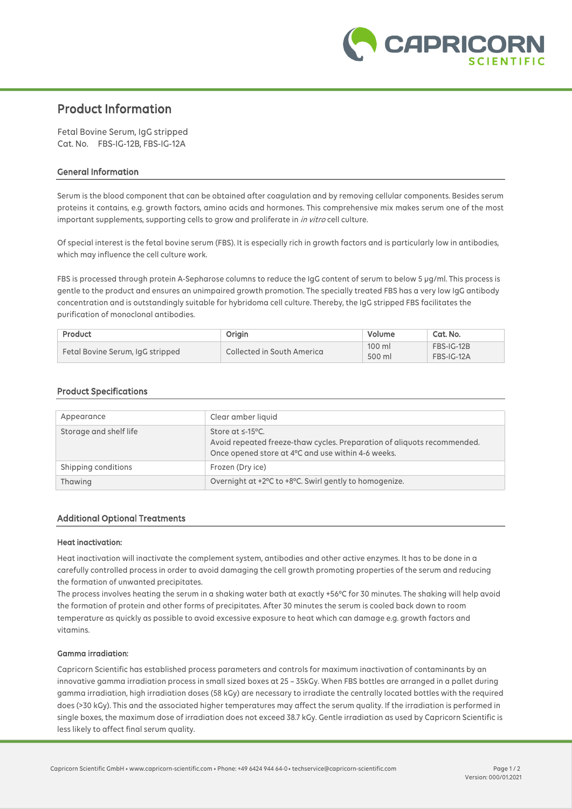

# **Product Information**

Fetal Bovine Serum, IgG stripped Cat. No. FBS-IG-12B, FBS-IG-12A

## **General Information**

Serum is the blood component that can be obtained after coagulation and by removing cellular components. Besides serum proteins it contains, e.g. growth factors, amino acids and hormones. This comprehensive mix makes serum one of the most important supplements, supporting cells to grow and proliferate in *in vitro* cell culture.

Of special interest is the fetal bovine serum (FBS). It is especially rich in growth factors and is particularly low in antibodies, which may influence the cell culture work.

FBS is processed through protein A-Sepharose columns to reduce the IgG content of serum to below 5 µg/ml. This process is gentle to the product and ensures an unimpaired growth promotion. The specially treated FBS has a very low IgG antibody concentration and is outstandingly suitable for hybridoma cell culture. Thereby, the IgG stripped FBS facilitates the purification of monoclonal antibodies.

| Product                          | Origin                     | Volume                     | Cat. No.                 |
|----------------------------------|----------------------------|----------------------------|--------------------------|
| Fetal Bovine Serum, IgG stripped | Collected in South America | $100 \mathrm{m}$<br>500 ml | FBS-IG-12B<br>FBS-IG-12A |

# **Product Specifications**

| Appearance             | Clear amber liquid                                                                                                                                      |
|------------------------|---------------------------------------------------------------------------------------------------------------------------------------------------------|
| Storage and shelf life | Store at $\leq$ -15°C.<br>Avoid repeated freeze-thaw cycles. Preparation of aliquots recommended.<br>Once opened store at 4°C and use within 4-6 weeks. |
| Shipping conditions    | Frozen (Dry ice)                                                                                                                                        |
| Thawing                | Overnight at +2°C to +8°C. Swirl gently to homogenize.                                                                                                  |

## **Additional Optional Treatments**

#### **Heat inactivation:**

Heat inactivation will inactivate the complement system, antibodies and other active enzymes. It has to be done in a carefully controlled process in order to avoid damaging the cell growth promoting properties of the serum and reducing the formation of unwanted precipitates.

The process involves heating the serum in a shaking water bath at exactly +56°C for 30 minutes. The shaking will help avoid the formation of protein and other forms of precipitates. After 30 minutes the serum is cooled back down to room temperature as quickly as possible to avoid excessive exposure to heat which can damage e.g. growth factors and vitamins.

#### **Gamma irradiation:**

Capricorn Scientific has established process parameters and controls for maximum inactivation of contaminants by an innovative gamma irradiation process in small sized boxes at 25 – 35kGy. When FBS bottles are arranged in a pallet during gamma irradiation, high irradiation doses (58 kGy) are necessary to irradiate the centrally located bottles with the required does (>30 kGy). This and the associated higher temperatures may affect the serum quality. If the irradiation is performed in single boxes, the maximum dose of irradiation does not exceed 38.7 kGy. Gentle irradiation as used by Capricorn Scientific is less likely to affect final serum quality.